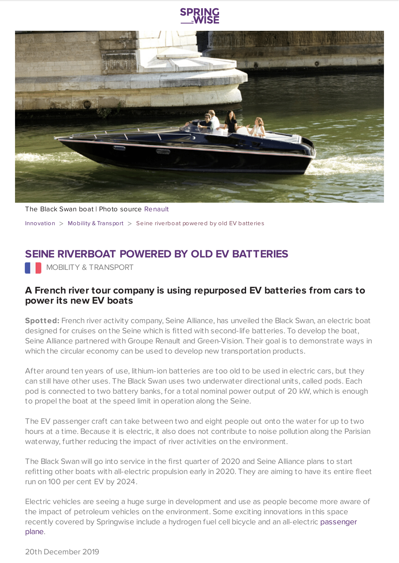



The Black Swan boat | Photo source [Renault](https://media.group.renault.com/global/en-gb/groupe-renault/media/pressreleases/21235734/le-black-swan-premier-bateau-a-passagers-equipe-de-batteries-de-seconde-vie-et-100-electrique-a-pari) [Innovation](https://www.springwise.com/search?type=innovation)  $>$  Mobility & [Transport](https://www.springwise.com/search?type=innovation§or=mobility-and-transport)  $>$  Seine riverboat powered by old EV batteries

## **SEINE RIVERBOAT POWERED BY OLD EV BATTERIES**

**NOBILITY & TRANSPORT** 

## **A French river tour company is using repurposed EV batteries from cars to power its new EV boats**

**Spotted:** French river activity company, Seine Alliance, has unveiled the Black Swan, an electric boat designed for cruises on the Seine which is fitted with second-life batteries. To develop the boat, Seine Alliance partnered with Groupe Renault and Green-Vision. Their goal is to demonstrate ways in which the circular economy can be used to develop new transportation products.

After around ten years of use, lithium-ion batteries are too old to be used in electric cars, but they can still have other uses. The Black Swan uses two underwater directional units, called pods. Each pod is connected to two battery banks, for a total nominal power output of 20 kW, which is enough to propel the boat at the speed limit in operation along the Seine.

The EV passenger craft can take between two and eight people out onto the water for up to two hours at a time. Because it is electric, it also does not contribute to noise pollution along the Parisian waterway, further reducing the impact of river activities on the environment.

The Black Swan will go into service in the first quarter of 2020 and Seine Alliance plans to start refitting other boats with all-electric propulsion early in 2020. They are aiming to have its entire fleet run on 100 per cent EV by 2024.

Electric vehicles are seeing a huge surge in development and use as people become more aware of the impact of petroleum vehicles on the environment. Some exciting innovations in this space recently covered by [Springwise](https://www.springwise.com/travel-innovation-cape-air-electric-aircraft-eviation-alice) include a hydrogen fuel cell bicycle and an all-electric passenger plane.